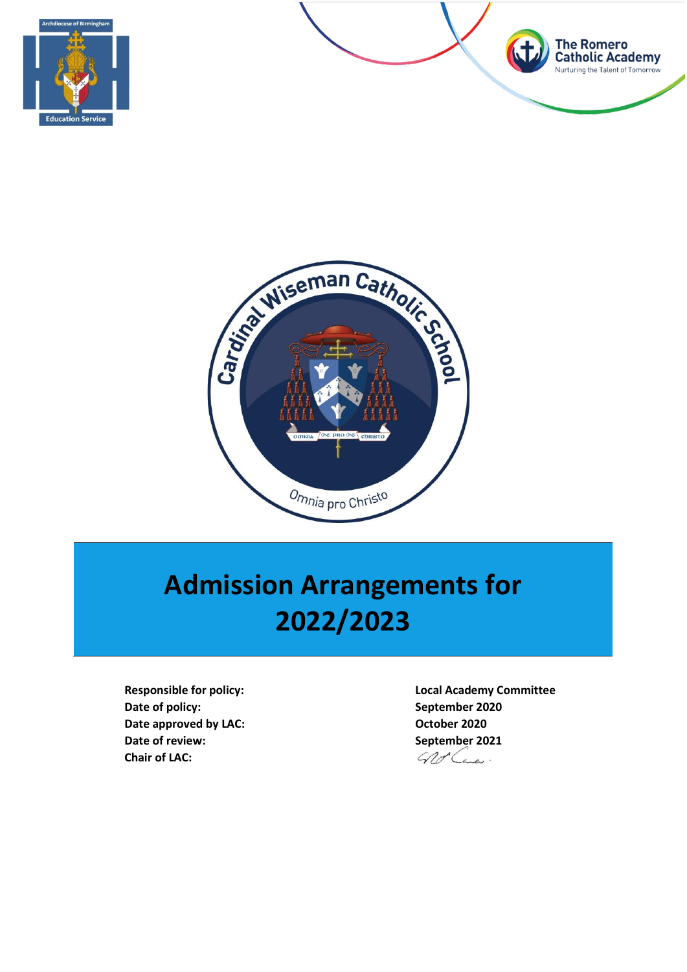





# **Admission Arrangements for 2022/2023**

**Responsible for policy: Local Academy Committee Date of policy: September 2020 Date approved by LAC: COLOREY CONSUMING CONSUMING CONSUMING CONSUMING CONSUMING CONSUMING CONSUMING CONSUMING CONSUMING CONSUMING CONSUMING CONSUMING CONSUMING CONSUMING CONSUMING CONSUMING CONSUMING CONSUMING CONSUMING Date of review:**<br> **Chair of LAC:**<br> **Chair of LAC:**<br> **September 2021 Chair of LAC:**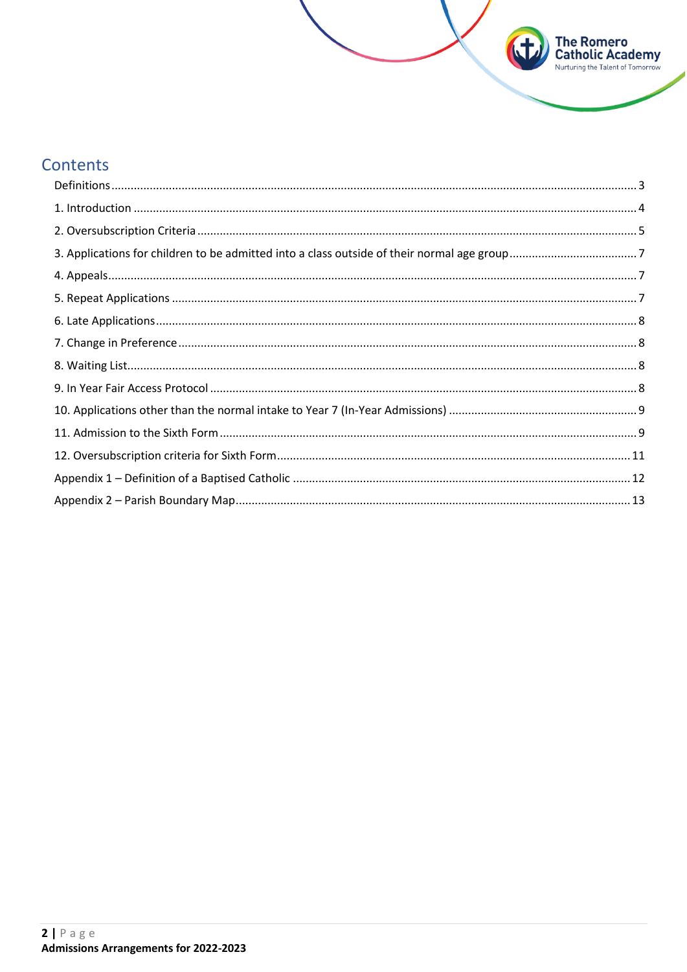# Contents

| $\begin{minipage}[c]{0.9\linewidth} \textbf{1. Introduction} \end{minipage}[a] \begin{minipage}[c]{0.9\linewidth} \textbf{2.0} \end{minipage}[b] \begin{minipage}[c]{0.9\linewidth} \textbf{3.0} \end{minipage}[c]{0.9\linewidth} \textbf{4.0} \end{minipage} \begin{minipage}[c]{0.9\linewidth} \textbf{5.0} \end{minipage} \begin{minipage}[c]{0.9\linewidth} \textbf{6.0} \end{minipage} \begin{minipage}[c]{0.9\linewidth} \textbf{6.0} \end{minipage} \begin{minipage}[c]{0.9\$ |  |
|--------------------------------------------------------------------------------------------------------------------------------------------------------------------------------------------------------------------------------------------------------------------------------------------------------------------------------------------------------------------------------------------------------------------------------------------------------------------------------------|--|
|                                                                                                                                                                                                                                                                                                                                                                                                                                                                                      |  |
|                                                                                                                                                                                                                                                                                                                                                                                                                                                                                      |  |
|                                                                                                                                                                                                                                                                                                                                                                                                                                                                                      |  |
|                                                                                                                                                                                                                                                                                                                                                                                                                                                                                      |  |
|                                                                                                                                                                                                                                                                                                                                                                                                                                                                                      |  |
|                                                                                                                                                                                                                                                                                                                                                                                                                                                                                      |  |
|                                                                                                                                                                                                                                                                                                                                                                                                                                                                                      |  |
|                                                                                                                                                                                                                                                                                                                                                                                                                                                                                      |  |
|                                                                                                                                                                                                                                                                                                                                                                                                                                                                                      |  |
|                                                                                                                                                                                                                                                                                                                                                                                                                                                                                      |  |
|                                                                                                                                                                                                                                                                                                                                                                                                                                                                                      |  |
|                                                                                                                                                                                                                                                                                                                                                                                                                                                                                      |  |
|                                                                                                                                                                                                                                                                                                                                                                                                                                                                                      |  |

**The Romero<br>Catholic Academy**<br>Nurturing the Talent of Tomorrow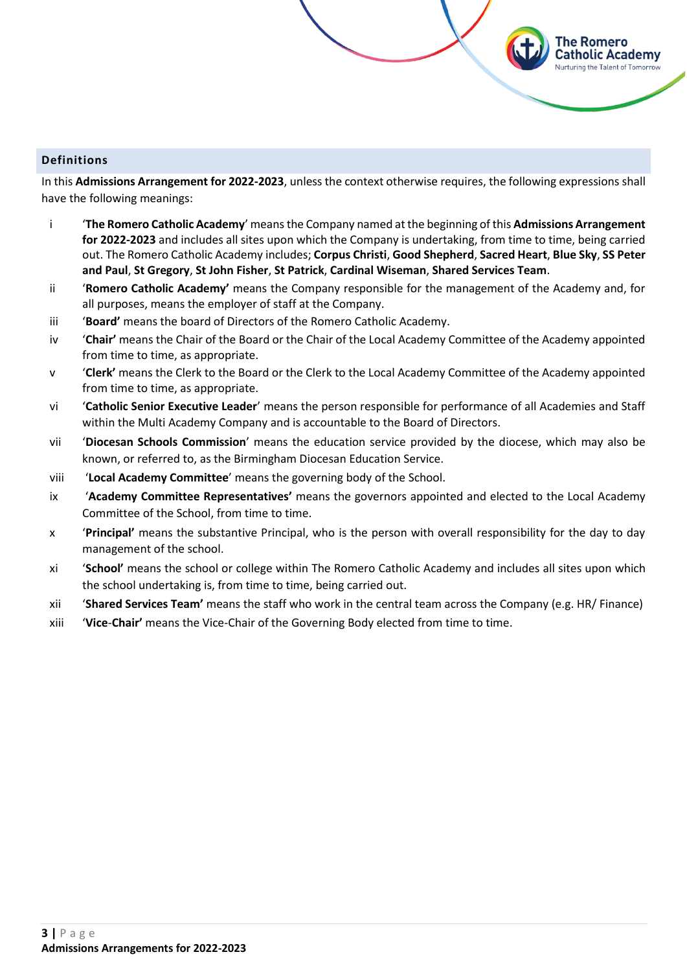# <span id="page-2-0"></span>**Definitions**

In this **Admissions Arrangement for 2022-2023**, unless the context otherwise requires, the following expressions shall have the following meanings:

The Romero Catholic Academy **Nurturing the Talent of Tomorrow** 

- i '**The Romero Catholic Academy**' means the Company named at the beginning of this **Admissions Arrangement for 2022-2023** and includes all sites upon which the Company is undertaking, from time to time, being carried out. The Romero Catholic Academy includes; **Corpus Christi**, **Good Shepherd**, **Sacred Heart**, **Blue Sky**, **SS Peter and Paul**, **St Gregory**, **St John Fisher**, **St Patrick**, **Cardinal Wiseman**, **Shared Services Team**.
- ii '**Romero Catholic Academy'** means the Company responsible for the management of the Academy and, for all purposes, means the employer of staff at the Company.
- iii '**Board'** means the board of Directors of the Romero Catholic Academy.
- iv '**Chair'** means the Chair of the Board or the Chair of the Local Academy Committee of the Academy appointed from time to time, as appropriate.
- v '**Clerk'** means the Clerk to the Board or the Clerk to the Local Academy Committee of the Academy appointed from time to time, as appropriate.
- vi '**Catholic Senior Executive Leader**' means the person responsible for performance of all Academies and Staff within the Multi Academy Company and is accountable to the Board of Directors.
- vii '**Diocesan Schools Commission**' means the education service provided by the diocese, which may also be known, or referred to, as the Birmingham Diocesan Education Service.
- viii '**Local Academy Committee**' means the governing body of the School.
- ix '**Academy Committee Representatives'** means the governors appointed and elected to the Local Academy Committee of the School, from time to time.
- x '**Principal'** means the substantive Principal, who is the person with overall responsibility for the day to day management of the school.
- xi '**School'** means the school or college within The Romero Catholic Academy and includes all sites upon which the school undertaking is, from time to time, being carried out.
- xii '**Shared Services Team'** means the staff who work in the central team across the Company (e.g. HR/ Finance)
- xiii '**Vice**-**Chair'** means the Vice-Chair of the Governing Body elected from time to time.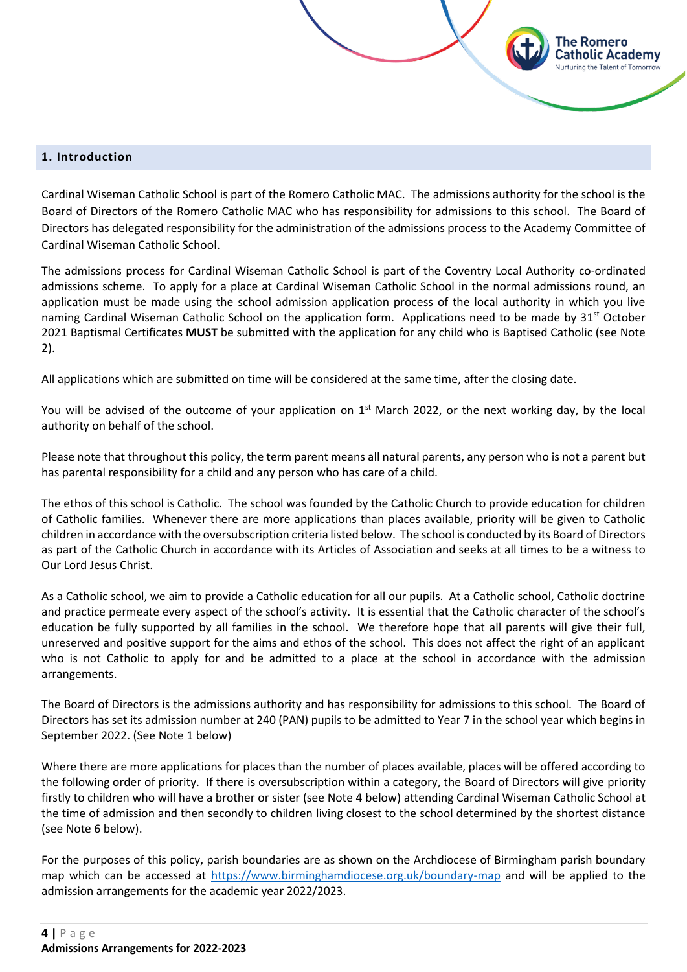#### <span id="page-3-0"></span>**1. Introduction**

Cardinal Wiseman Catholic School is part of the Romero Catholic MAC. The admissions authority for the school is the Board of Directors of the Romero Catholic MAC who has responsibility for admissions to this school. The Board of Directors has delegated responsibility for the administration of the admissions process to the Academy Committee of Cardinal Wiseman Catholic School.

'he Romero atholic Academy

The admissions process for Cardinal Wiseman Catholic School is part of the Coventry Local Authority co-ordinated admissions scheme. To apply for a place at Cardinal Wiseman Catholic School in the normal admissions round, an application must be made using the school admission application process of the local authority in which you live naming Cardinal Wiseman Catholic School on the application form. Applications need to be made by 31<sup>st</sup> October 2021 Baptismal Certificates **MUST** be submitted with the application for any child who is Baptised Catholic (see Note 2).

All applications which are submitted on time will be considered at the same time, after the closing date.

You will be advised of the outcome of your application on 1<sup>st</sup> March 2022, or the next working day, by the local authority on behalf of the school.

Please note that throughout this policy, the term parent means all natural parents, any person who is not a parent but has parental responsibility for a child and any person who has care of a child.

The ethos of this school is Catholic. The school was founded by the Catholic Church to provide education for children of Catholic families. Whenever there are more applications than places available, priority will be given to Catholic children in accordance with the oversubscription criteria listed below. The school is conducted by its Board of Directors as part of the Catholic Church in accordance with its Articles of Association and seeks at all times to be a witness to Our Lord Jesus Christ.

As a Catholic school, we aim to provide a Catholic education for all our pupils. At a Catholic school, Catholic doctrine and practice permeate every aspect of the school's activity. It is essential that the Catholic character of the school's education be fully supported by all families in the school. We therefore hope that all parents will give their full, unreserved and positive support for the aims and ethos of the school. This does not affect the right of an applicant who is not Catholic to apply for and be admitted to a place at the school in accordance with the admission arrangements.

The Board of Directors is the admissions authority and has responsibility for admissions to this school. The Board of Directors has set its admission number at 240 (PAN) pupils to be admitted to Year 7 in the school year which begins in September 2022. (See Note 1 below)

Where there are more applications for places than the number of places available, places will be offered according to the following order of priority. If there is oversubscription within a category, the Board of Directors will give priority firstly to children who will have a brother or sister (see Note 4 below) attending Cardinal Wiseman Catholic School at the time of admission and then secondly to children living closest to the school determined by the shortest distance (see Note 6 below).

For the purposes of this policy, parish boundaries are as shown on the Archdiocese of Birmingham parish boundary map which can be accessed at<https://www.birminghamdiocese.org.uk/boundary-map> and will be applied to the admission arrangements for the academic year 2022/2023.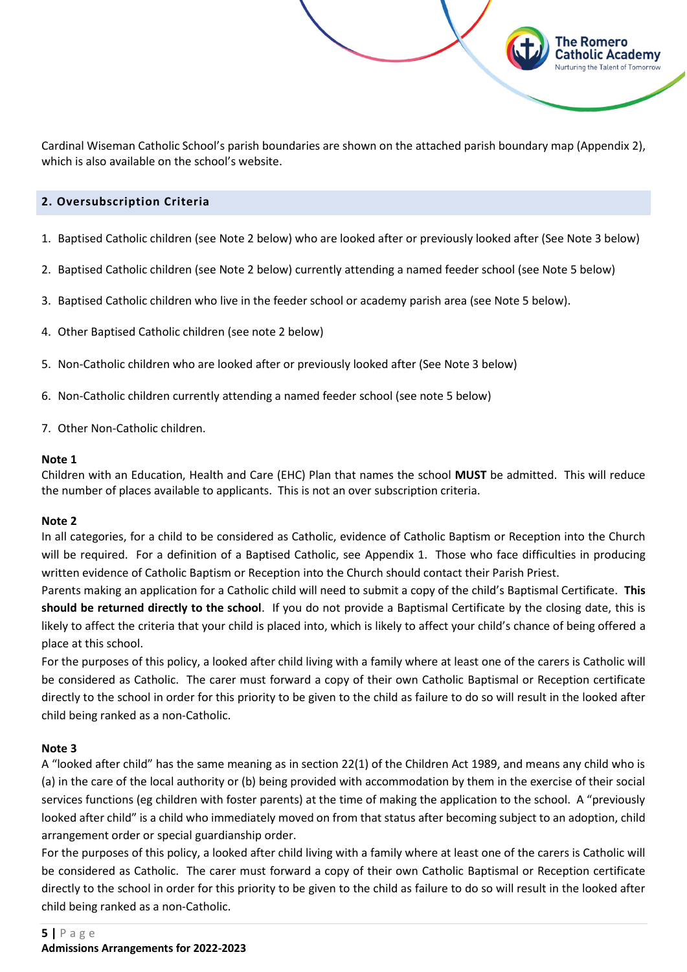Cardinal Wiseman Catholic School's parish boundaries are shown on the attached parish boundary map (Appendix 2), which is also available on the school's website.

The Romero Catholic Academy

# <span id="page-4-0"></span>**2. Oversubscription Criteria**

- 1. Baptised Catholic children (see Note 2 below) who are looked after or previously looked after (See Note 3 below)
- 2. Baptised Catholic children (see Note 2 below) currently attending a named feeder school (see Note 5 below)
- 3. Baptised Catholic children who live in the feeder school or academy parish area (see Note 5 below).
- 4. Other Baptised Catholic children (see note 2 below)
- 5. Non-Catholic children who are looked after or previously looked after (See Note 3 below)
- 6. Non-Catholic children currently attending a named feeder school (see note 5 below)
- 7. Other Non-Catholic children.

#### **Note 1**

Children with an Education, Health and Care (EHC) Plan that names the school **MUST** be admitted. This will reduce the number of places available to applicants. This is not an over subscription criteria.

#### **Note 2**

In all categories, for a child to be considered as Catholic, evidence of Catholic Baptism or Reception into the Church will be required. For a definition of a Baptised Catholic, see Appendix 1. Those who face difficulties in producing written evidence of Catholic Baptism or Reception into the Church should contact their Parish Priest.

Parents making an application for a Catholic child will need to submit a copy of the child's Baptismal Certificate. **This should be returned directly to the school**. If you do not provide a Baptismal Certificate by the closing date, this is likely to affect the criteria that your child is placed into, which is likely to affect your child's chance of being offered a place at this school.

For the purposes of this policy, a looked after child living with a family where at least one of the carers is Catholic will be considered as Catholic. The carer must forward a copy of their own Catholic Baptismal or Reception certificate directly to the school in order for this priority to be given to the child as failure to do so will result in the looked after child being ranked as a non-Catholic.

#### **Note 3**

A "looked after child" has the same meaning as in section 22(1) of the Children Act 1989, and means any child who is (a) in the care of the local authority or (b) being provided with accommodation by them in the exercise of their social services functions (eg children with foster parents) at the time of making the application to the school. A "previously looked after child" is a child who immediately moved on from that status after becoming subject to an adoption, child arrangement order or special guardianship order.

For the purposes of this policy, a looked after child living with a family where at least one of the carers is Catholic will be considered as Catholic. The carer must forward a copy of their own Catholic Baptismal or Reception certificate directly to the school in order for this priority to be given to the child as failure to do so will result in the looked after child being ranked as a non-Catholic.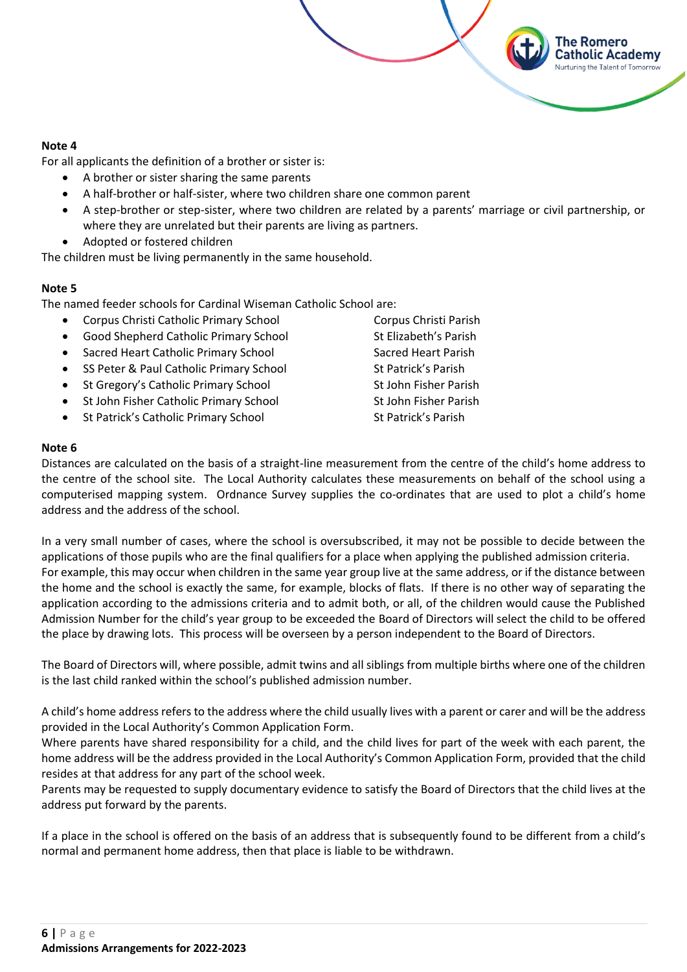#### **Note 4**

For all applicants the definition of a brother or sister is:

- A brother or sister sharing the same parents
- A half-brother or half-sister, where two children share one common parent
- A step-brother or step-sister, where two children are related by a parents' marriage or civil partnership, or where they are unrelated but their parents are living as partners.
- Adopted or fostered children

The children must be living permanently in the same household.

# **Note 5**

The named feeder schools for Cardinal Wiseman Catholic School are:

- Corpus Christi Catholic Primary School Corpus Christi Parish
- Good Shepherd Catholic Primary School St Elizabeth's Parish
- Sacred Heart Catholic Primary School Sacred Heart Parish
- **SS Peter & Paul Catholic Primary School St Patrick's Parish St Patrick's Parish**
- St Gregory's Catholic Primary School St John Fisher Parish
- **St John Fisher Catholic Primary School St John Fisher Parish**
- St Patrick's Catholic Primary School St Patrick's Parish

The Romero atholic Academy:

# **Note 6**

Distances are calculated on the basis of a straight-line measurement from the centre of the child's home address to the centre of the school site. The Local Authority calculates these measurements on behalf of the school using a computerised mapping system. Ordnance Survey supplies the co-ordinates that are used to plot a child's home address and the address of the school.

In a very small number of cases, where the school is oversubscribed, it may not be possible to decide between the applications of those pupils who are the final qualifiers for a place when applying the published admission criteria. For example, this may occur when children in the same year group live at the same address, or if the distance between the home and the school is exactly the same, for example, blocks of flats. If there is no other way of separating the application according to the admissions criteria and to admit both, or all, of the children would cause the Published Admission Number for the child's year group to be exceeded the Board of Directors will select the child to be offered the place by drawing lots. This process will be overseen by a person independent to the Board of Directors.

The Board of Directors will, where possible, admit twins and all siblings from multiple births where one of the children is the last child ranked within the school's published admission number.

A child's home address refers to the address where the child usually lives with a parent or carer and will be the address provided in the Local Authority's Common Application Form.

Where parents have shared responsibility for a child, and the child lives for part of the week with each parent, the home address will be the address provided in the Local Authority's Common Application Form, provided that the child resides at that address for any part of the school week.

Parents may be requested to supply documentary evidence to satisfy the Board of Directors that the child lives at the address put forward by the parents.

If a place in the school is offered on the basis of an address that is subsequently found to be different from a child's normal and permanent home address, then that place is liable to be withdrawn.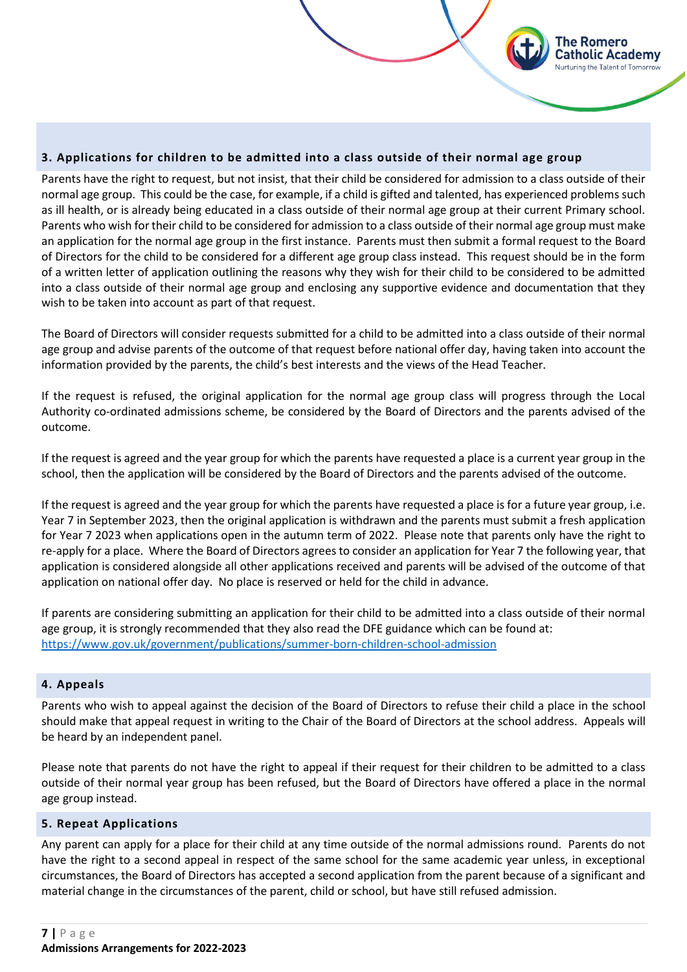# <span id="page-6-0"></span>**3. Applications for children to be admitted into a class outside of their normal age group**

Parents have the right to request, but not insist, that their child be considered for admission to a class outside of their normal age group. This could be the case, for example, if a child is gifted and talented, has experienced problems such as ill health, or is already being educated in a class outside of their normal age group at their current Primary school. Parents who wish for their child to be considered for admission to a class outside of their normal age group must make an application for the normal age group in the first instance. Parents must then submit a formal request to the Board of Directors for the child to be considered for a different age group class instead. This request should be in the form of a written letter of application outlining the reasons why they wish for their child to be considered to be admitted into a class outside of their normal age group and enclosing any supportive evidence and documentation that they wish to be taken into account as part of that request.

The Romero atholic Academv

The Board of Directors will consider requests submitted for a child to be admitted into a class outside of their normal age group and advise parents of the outcome of that request before national offer day, having taken into account the information provided by the parents, the child's best interests and the views of the Head Teacher.

If the request is refused, the original application for the normal age group class will progress through the Local Authority co-ordinated admissions scheme, be considered by the Board of Directors and the parents advised of the outcome.

If the request is agreed and the year group for which the parents have requested a place is a current year group in the school, then the application will be considered by the Board of Directors and the parents advised of the outcome.

If the request is agreed and the year group for which the parents have requested a place is for a future year group, i.e. Year 7 in September 2023, then the original application is withdrawn and the parents must submit a fresh application for Year 7 2023 when applications open in the autumn term of 2022. Please note that parents only have the right to re-apply for a place. Where the Board of Directors agrees to consider an application for Year 7 the following year, that application is considered alongside all other applications received and parents will be advised of the outcome of that application on national offer day. No place is reserved or held for the child in advance.

If parents are considering submitting an application for their child to be admitted into a class outside of their normal age group, it is strongly recommended that they also read the DFE guidance which can be found at: <https://www.gov.uk/government/publications/summer-born-children-school-admission>

#### <span id="page-6-1"></span>**4. Appeals**

Parents who wish to appeal against the decision of the Board of Directors to refuse their child a place in the school should make that appeal request in writing to the Chair of the Board of Directors at the school address. Appeals will be heard by an independent panel.

Please note that parents do not have the right to appeal if their request for their children to be admitted to a class outside of their normal year group has been refused, but the Board of Directors have offered a place in the normal age group instead.

#### <span id="page-6-2"></span>**5. Repeat Applications**

Any parent can apply for a place for their child at any time outside of the normal admissions round. Parents do not have the right to a second appeal in respect of the same school for the same academic year unless, in exceptional circumstances, the Board of Directors has accepted a second application from the parent because of a significant and material change in the circumstances of the parent, child or school, but have still refused admission.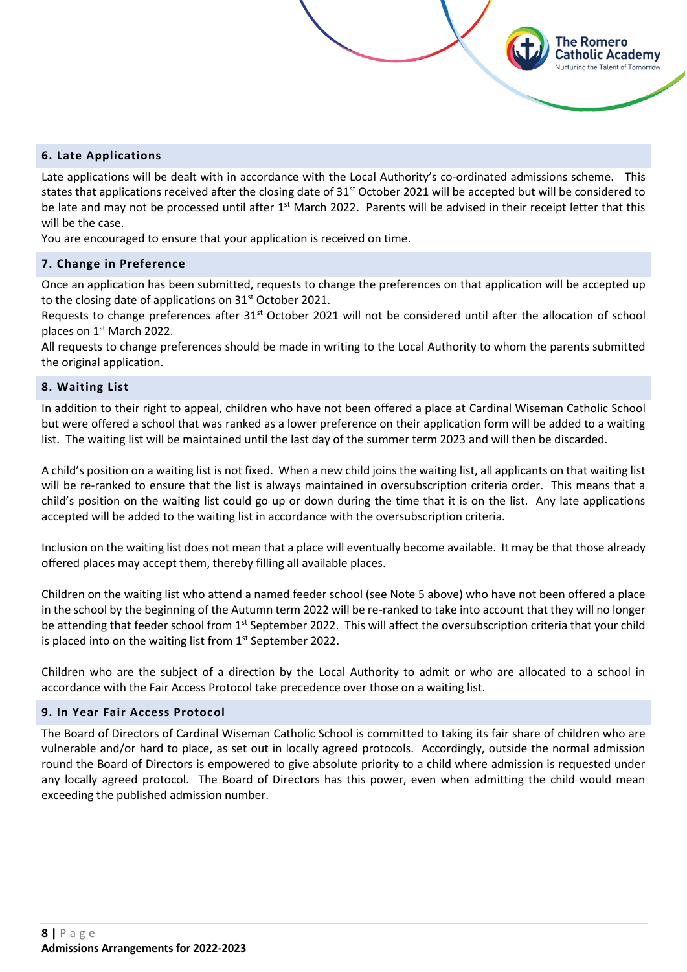# <span id="page-7-0"></span>**6. Late Applications**

Late applications will be dealt with in accordance with the Local Authority's co-ordinated admissions scheme. This states that applications received after the closing date of  $31<sup>st</sup>$  October 2021 will be accepted but will be considered to be late and may not be processed until after 1<sup>st</sup> March 2022. Parents will be advised in their receipt letter that this will be the case.

The Romero atholic Academv

You are encouraged to ensure that your application is received on time.

#### <span id="page-7-1"></span>**7. Change in Preference**

Once an application has been submitted, requests to change the preferences on that application will be accepted up to the closing date of applications on 31<sup>st</sup> October 2021.

Requests to change preferences after 31<sup>st</sup> October 2021 will not be considered until after the allocation of school places on 1<sup>st</sup> March 2022.

All requests to change preferences should be made in writing to the Local Authority to whom the parents submitted the original application.

#### <span id="page-7-2"></span>**8. Waiting List**

In addition to their right to appeal, children who have not been offered a place at Cardinal Wiseman Catholic School but were offered a school that was ranked as a lower preference on their application form will be added to a waiting list. The waiting list will be maintained until the last day of the summer term 2023 and will then be discarded.

A child's position on a waiting list is not fixed. When a new child joins the waiting list, all applicants on that waiting list will be re-ranked to ensure that the list is always maintained in oversubscription criteria order. This means that a child's position on the waiting list could go up or down during the time that it is on the list. Any late applications accepted will be added to the waiting list in accordance with the oversubscription criteria.

Inclusion on the waiting list does not mean that a place will eventually become available. It may be that those already offered places may accept them, thereby filling all available places.

Children on the waiting list who attend a named feeder school (see Note 5 above) who have not been offered a place in the school by the beginning of the Autumn term 2022 will be re-ranked to take into account that they will no longer be attending that feeder school from 1<sup>st</sup> September 2022. This will affect the oversubscription criteria that your child is placed into on the waiting list from  $1<sup>st</sup>$  September 2022.

Children who are the subject of a direction by the Local Authority to admit or who are allocated to a school in accordance with the Fair Access Protocol take precedence over those on a waiting list.

#### <span id="page-7-3"></span>**9. In Year Fair Access Protocol**

The Board of Directors of Cardinal Wiseman Catholic School is committed to taking its fair share of children who are vulnerable and/or hard to place, as set out in locally agreed protocols. Accordingly, outside the normal admission round the Board of Directors is empowered to give absolute priority to a child where admission is requested under any locally agreed protocol. The Board of Directors has this power, even when admitting the child would mean exceeding the published admission number.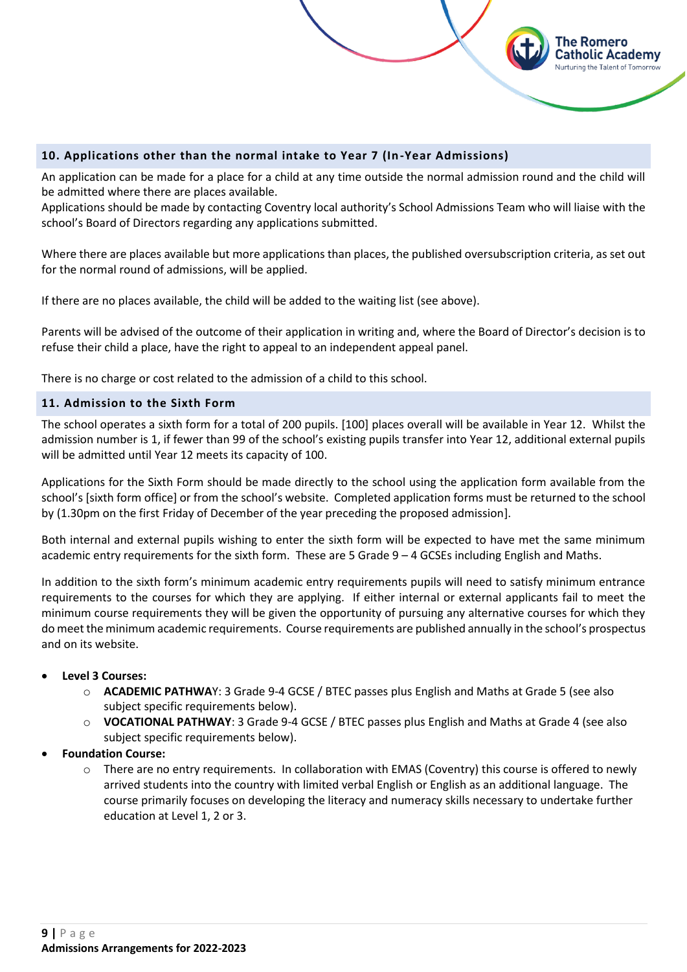<span id="page-8-0"></span>

An application can be made for a place for a child at any time outside the normal admission round and the child will be admitted where there are places available.

The Romero atholic Academv

Applications should be made by contacting Coventry local authority's School Admissions Team who will liaise with the school's Board of Directors regarding any applications submitted.

Where there are places available but more applications than places, the published oversubscription criteria, as set out for the normal round of admissions, will be applied.

If there are no places available, the child will be added to the waiting list (see above).

Parents will be advised of the outcome of their application in writing and, where the Board of Director's decision is to refuse their child a place, have the right to appeal to an independent appeal panel.

There is no charge or cost related to the admission of a child to this school.

# <span id="page-8-1"></span>**11. Admission to the Sixth Form**

The school operates a sixth form for a total of 200 pupils. [100] places overall will be available in Year 12. Whilst the admission number is 1, if fewer than 99 of the school's existing pupils transfer into Year 12, additional external pupils will be admitted until Year 12 meets its capacity of 100.

Applications for the Sixth Form should be made directly to the school using the application form available from the school's [sixth form office] or from the school's website. Completed application forms must be returned to the school by (1.30pm on the first Friday of December of the year preceding the proposed admission].

Both internal and external pupils wishing to enter the sixth form will be expected to have met the same minimum academic entry requirements for the sixth form. These are 5 Grade  $9 - 4$  GCSEs including English and Maths.

In addition to the sixth form's minimum academic entry requirements pupils will need to satisfy minimum entrance requirements to the courses for which they are applying. If either internal or external applicants fail to meet the minimum course requirements they will be given the opportunity of pursuing any alternative courses for which they do meet the minimum academic requirements. Course requirements are published annually in the school's prospectus and on its website.

#### • **Level 3 Courses:**

- o **ACADEMIC PATHWA**Y: 3 Grade 9-4 GCSE / BTEC passes plus English and Maths at Grade 5 (see also subject specific requirements below).
- o **VOCATIONAL PATHWAY**: 3 Grade 9-4 GCSE / BTEC passes plus English and Maths at Grade 4 (see also subject specific requirements below).
- **Foundation Course:**
	- o There are no entry requirements. In collaboration with EMAS (Coventry) this course is offered to newly arrived students into the country with limited verbal English or English as an additional language. The course primarily focuses on developing the literacy and numeracy skills necessary to undertake further education at Level 1, 2 or 3.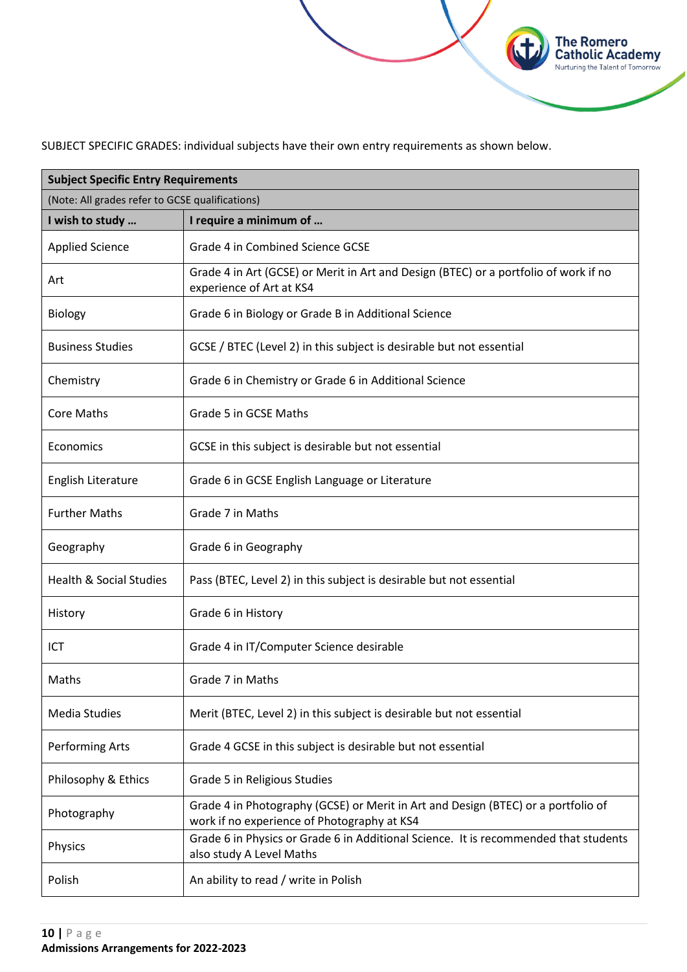SUBJECT SPECIFIC GRADES: individual subjects have their own entry requirements as shown below.

**The Romero<br>Catholic Academy**<br>Nurturing the Talent of Tomorrow

| <b>Subject Specific Entry Requirements</b>      |                                                                                                                                  |  |
|-------------------------------------------------|----------------------------------------------------------------------------------------------------------------------------------|--|
| (Note: All grades refer to GCSE qualifications) |                                                                                                                                  |  |
| I wish to study                                 | I require a minimum of                                                                                                           |  |
| <b>Applied Science</b>                          | Grade 4 in Combined Science GCSE                                                                                                 |  |
| Art                                             | Grade 4 in Art (GCSE) or Merit in Art and Design (BTEC) or a portfolio of work if no<br>experience of Art at KS4                 |  |
| <b>Biology</b>                                  | Grade 6 in Biology or Grade B in Additional Science                                                                              |  |
| <b>Business Studies</b>                         | GCSE / BTEC (Level 2) in this subject is desirable but not essential                                                             |  |
| Chemistry                                       | Grade 6 in Chemistry or Grade 6 in Additional Science                                                                            |  |
| <b>Core Maths</b>                               | Grade 5 in GCSE Maths                                                                                                            |  |
| Economics                                       | GCSE in this subject is desirable but not essential                                                                              |  |
| English Literature                              | Grade 6 in GCSE English Language or Literature                                                                                   |  |
| <b>Further Maths</b>                            | Grade 7 in Maths                                                                                                                 |  |
| Geography                                       | Grade 6 in Geography                                                                                                             |  |
| <b>Health &amp; Social Studies</b>              | Pass (BTEC, Level 2) in this subject is desirable but not essential                                                              |  |
| History                                         | Grade 6 in History                                                                                                               |  |
| ICT                                             | Grade 4 in IT/Computer Science desirable                                                                                         |  |
| Maths                                           | Grade 7 in Maths                                                                                                                 |  |
| <b>Media Studies</b>                            | Merit (BTEC, Level 2) in this subject is desirable but not essential                                                             |  |
| Performing Arts                                 | Grade 4 GCSE in this subject is desirable but not essential                                                                      |  |
| Philosophy & Ethics                             | Grade 5 in Religious Studies                                                                                                     |  |
| Photography                                     | Grade 4 in Photography (GCSE) or Merit in Art and Design (BTEC) or a portfolio of<br>work if no experience of Photography at KS4 |  |
| Physics                                         | Grade 6 in Physics or Grade 6 in Additional Science. It is recommended that students<br>also study A Level Maths                 |  |
| Polish                                          | An ability to read / write in Polish                                                                                             |  |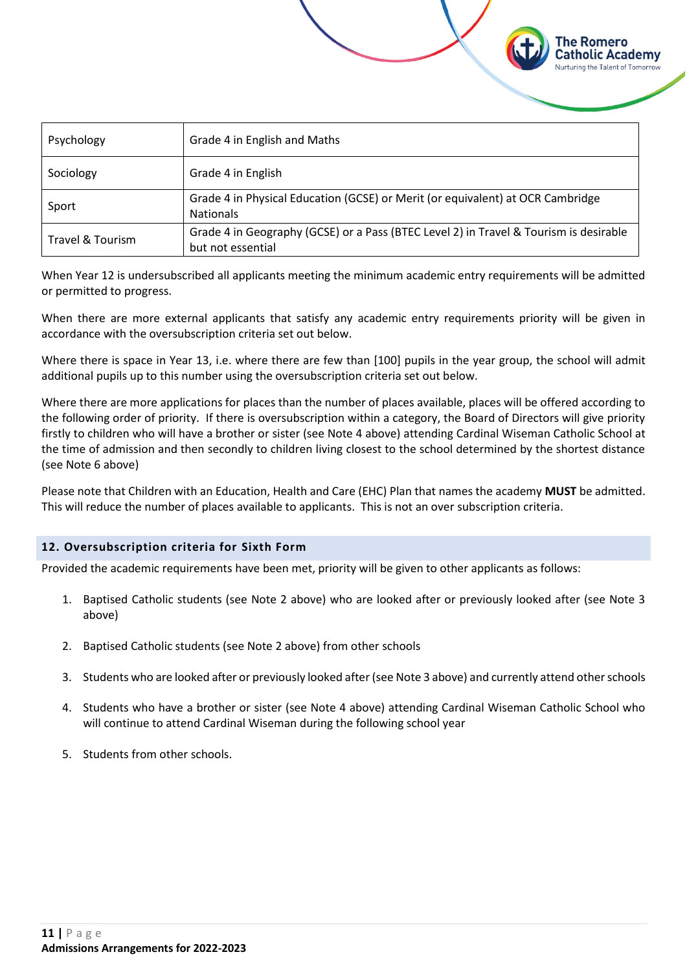| Psychology       | Grade 4 in English and Maths                                                                               |
|------------------|------------------------------------------------------------------------------------------------------------|
| Sociology        | Grade 4 in English                                                                                         |
| Sport            | Grade 4 in Physical Education (GCSE) or Merit (or equivalent) at OCR Cambridge<br><b>Nationals</b>         |
| Travel & Tourism | Grade 4 in Geography (GCSE) or a Pass (BTEC Level 2) in Travel & Tourism is desirable<br>but not essential |

The Romero Catholic Academy **Nurturing the Talent of Tomorrow** 

When Year 12 is undersubscribed all applicants meeting the minimum academic entry requirements will be admitted or permitted to progress.

When there are more external applicants that satisfy any academic entry requirements priority will be given in accordance with the oversubscription criteria set out below.

Where there is space in Year 13, i.e. where there are few than [100] pupils in the year group, the school will admit additional pupils up to this number using the oversubscription criteria set out below.

Where there are more applications for places than the number of places available, places will be offered according to the following order of priority. If there is oversubscription within a category, the Board of Directors will give priority firstly to children who will have a brother or sister (see Note 4 above) attending Cardinal Wiseman Catholic School at the time of admission and then secondly to children living closest to the school determined by the shortest distance (see Note 6 above)

Please note that Children with an Education, Health and Care (EHC) Plan that names the academy **MUST** be admitted. This will reduce the number of places available to applicants. This is not an over subscription criteria.

# <span id="page-10-0"></span>**12. Oversubscription criteria for Sixth Form**

Provided the academic requirements have been met, priority will be given to other applicants as follows:

- 1. Baptised Catholic students (see Note 2 above) who are looked after or previously looked after (see Note 3 above)
- 2. Baptised Catholic students (see Note 2 above) from other schools
- 3. Students who are looked after or previously looked after (see Note 3 above) and currently attend otherschools
- 4. Students who have a brother or sister (see Note 4 above) attending Cardinal Wiseman Catholic School who will continue to attend Cardinal Wiseman during the following school year
- 5. Students from other schools.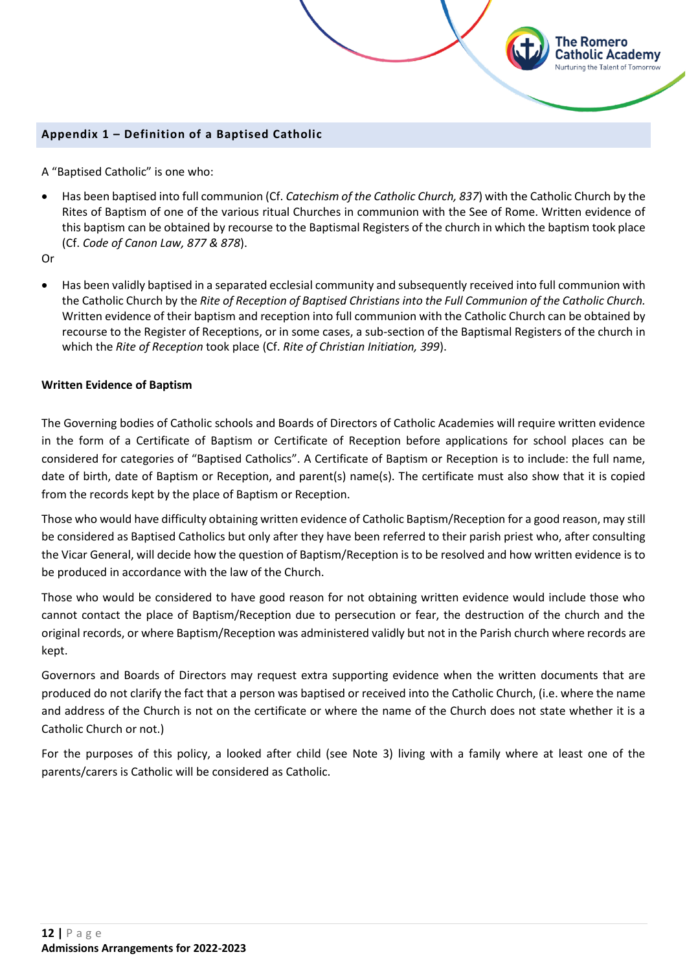# <span id="page-11-0"></span>**Appendix 1 – Definition of a Baptised Catholic**

A "Baptised Catholic" is one who:

• Has been baptised into full communion (Cf. *Catechism of the Catholic Church, 837*) with the Catholic Church by the Rites of Baptism of one of the various ritual Churches in communion with the See of Rome. Written evidence of this baptism can be obtained by recourse to the Baptismal Registers of the church in which the baptism took place (Cf. *Code of Canon Law, 877 & 878*).

The Romero Catholic Academy Nurturing the Talent of Tomorrow

Or

• Has been validly baptised in a separated ecclesial community and subsequently received into full communion with the Catholic Church by the *Rite of Reception of Baptised Christians into the Full Communion of the Catholic Church.* Written evidence of their baptism and reception into full communion with the Catholic Church can be obtained by recourse to the Register of Receptions, or in some cases, a sub-section of the Baptismal Registers of the church in which the *Rite of Reception* took place (Cf. *Rite of Christian Initiation, 399*).

# **Written Evidence of Baptism**

The Governing bodies of Catholic schools and Boards of Directors of Catholic Academies will require written evidence in the form of a Certificate of Baptism or Certificate of Reception before applications for school places can be considered for categories of "Baptised Catholics". A Certificate of Baptism or Reception is to include: the full name, date of birth, date of Baptism or Reception, and parent(s) name(s). The certificate must also show that it is copied from the records kept by the place of Baptism or Reception.

Those who would have difficulty obtaining written evidence of Catholic Baptism/Reception for a good reason, may still be considered as Baptised Catholics but only after they have been referred to their parish priest who, after consulting the Vicar General, will decide how the question of Baptism/Reception is to be resolved and how written evidence is to be produced in accordance with the law of the Church.

Those who would be considered to have good reason for not obtaining written evidence would include those who cannot contact the place of Baptism/Reception due to persecution or fear, the destruction of the church and the original records, or where Baptism/Reception was administered validly but not in the Parish church where records are kept.

Governors and Boards of Directors may request extra supporting evidence when the written documents that are produced do not clarify the fact that a person was baptised or received into the Catholic Church, (i.e. where the name and address of the Church is not on the certificate or where the name of the Church does not state whether it is a Catholic Church or not.)

For the purposes of this policy, a looked after child (see Note 3) living with a family where at least one of the parents/carers is Catholic will be considered as Catholic.